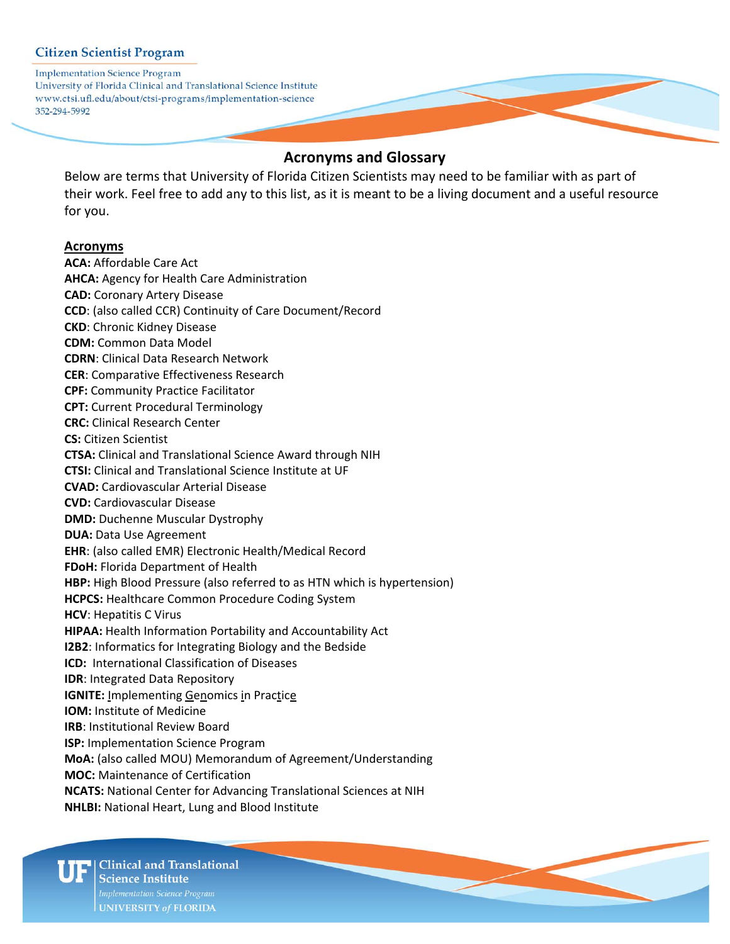**Implementation Science Program** University of Florida Clinical and Translational Science Institute www.ctsi.ufl.edu/about/ctsi-programs/implementation-science 352-294-5992

# **Acronyms and Glossary**

Below are terms that University of Florida Citizen Scientists may need to be familiar with as part of their work. Feel free to add any to this list, as it is meant to be a living document and a useful resource for you.

#### **Acronyms**

**ACA:** Affordable Care Act **AHCA:** Agency for Health Care Administration **CAD:** Coronary Artery Disease **CCD**: (also called CCR) Continuity of Care Document/Record **CKD**: Chronic Kidney Disease **CDM:** Common Data Model **CDRN**: Clinical Data Research Network **CER**: Comparative Effectiveness Research **CPF:** Community Practice Facilitator **CPT:** Current Procedural Terminology **CRC:** Clinical Research Center **CS:** Citizen Scientist **CTSA:** Clinical and Translational Science Award through NIH **CTSI:** Clinical and Translational Science Institute at UF **CVAD:** Cardiovascular Arterial Disease **CVD:** Cardiovascular Disease **DMD:** Duchenne Muscular Dystrophy **DUA:** Data Use Agreement **EHR**: (also called EMR) Electronic Health/Medical Record **FDoH:** Florida Department of Health **HBP:** High Blood Pressure (also referred to as HTN which is hypertension) **HCPCS:** Healthcare Common Procedure Coding System **HCV**: Hepatitis C Virus **HIPAA:** Health Information Portability and Accountability Act **I2B2**: Informatics for Integrating Biology and the Bedside **ICD:** International Classification of Diseases **IDR**: Integrated Data Repository **IGNITE:** Implementing Genomics in Practice **IOM:** Institute of Medicine **IRB**: Institutional Review Board **ISP:** Implementation Science Program **MoA:** (also called MOU) Memorandum of Agreement/Understanding **MOC:** Maintenance of Certification **NCATS:** National Center for Advancing Translational Sciences at NIH **NHLBI:** National Heart, Lung and Blood Institute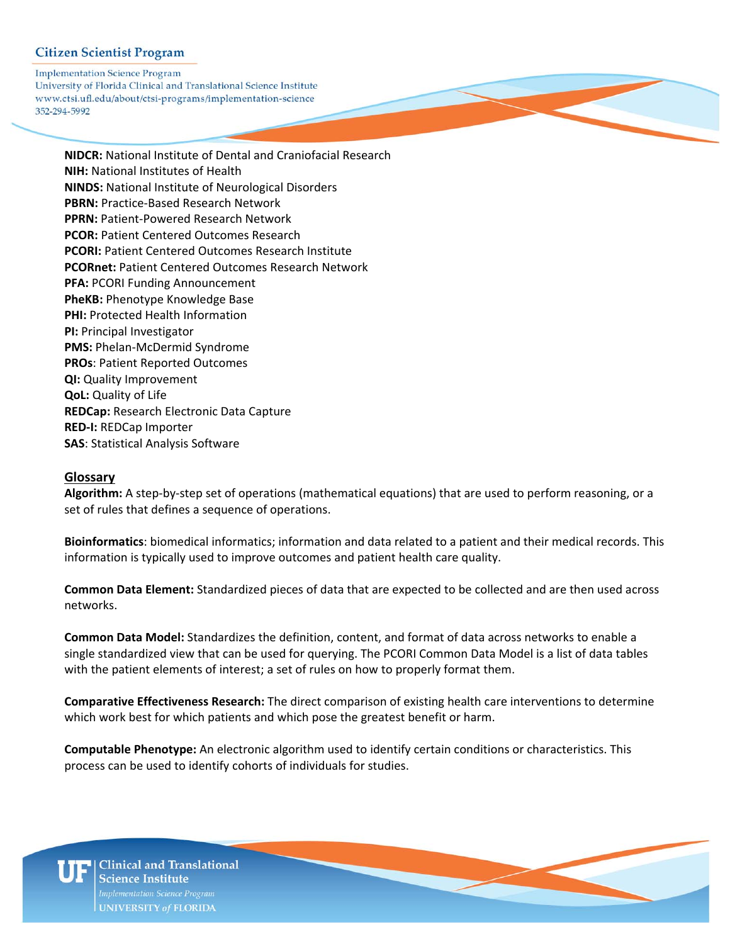**Implementation Science Program** University of Florida Clinical and Translational Science Institute www.ctsi.ufl.edu/about/ctsi-programs/implementation-science 352-294-5992

> **NIDCR:** National Institute of Dental and Craniofacial Research **NIH:** National Institutes of Health **NINDS:** National Institute of Neurological Disorders **PBRN:** Practice‐Based Research Network **PPRN:** Patient‐Powered Research Network **PCOR:** Patient Centered Outcomes Research  **PCORI:** Patient Centered Outcomes Research Institute **PCORnet:** Patient Centered Outcomes Research Network **PFA:** PCORI Funding Announcement **PheKB:** Phenotype Knowledge Base **PHI:** Protected Health Information **PI:** Principal Investigator **PMS:** Phelan‐McDermid Syndrome **PROs**: Patient Reported Outcomes **QI:** Quality Improvement **QoL:** Quality of Life **REDCap:** Research Electronic Data Capture **RED‐I:** REDCap Importer **SAS**: Statistical Analysis Software

#### **Glossary**

**Algorithm:** A step‐by‐step set of operations (mathematical equations) that are used to perform reasoning, or a set of rules that defines a sequence of operations.

**Bioinformatics**: biomedical informatics; information and data related to a patient and their medical records. This information is typically used to improve outcomes and patient health care quality.

**Common Data Element:** Standardized pieces of data that are expected to be collected and are then used across networks.

**Common Data Model:** Standardizes the definition, content, and format of data across networks to enable a single standardized view that can be used for querying. The PCORI Common Data Model is a list of data tables with the patient elements of interest; a set of rules on how to properly format them.

**Comparative Effectiveness Research:** The direct comparison of existing health care interventions to determine which work best for which patients and which pose the greatest benefit or harm.

**Computable Phenotype:** An electronic algorithm used to identify certain conditions or characteristics. This process can be used to identify cohorts of individuals for studies.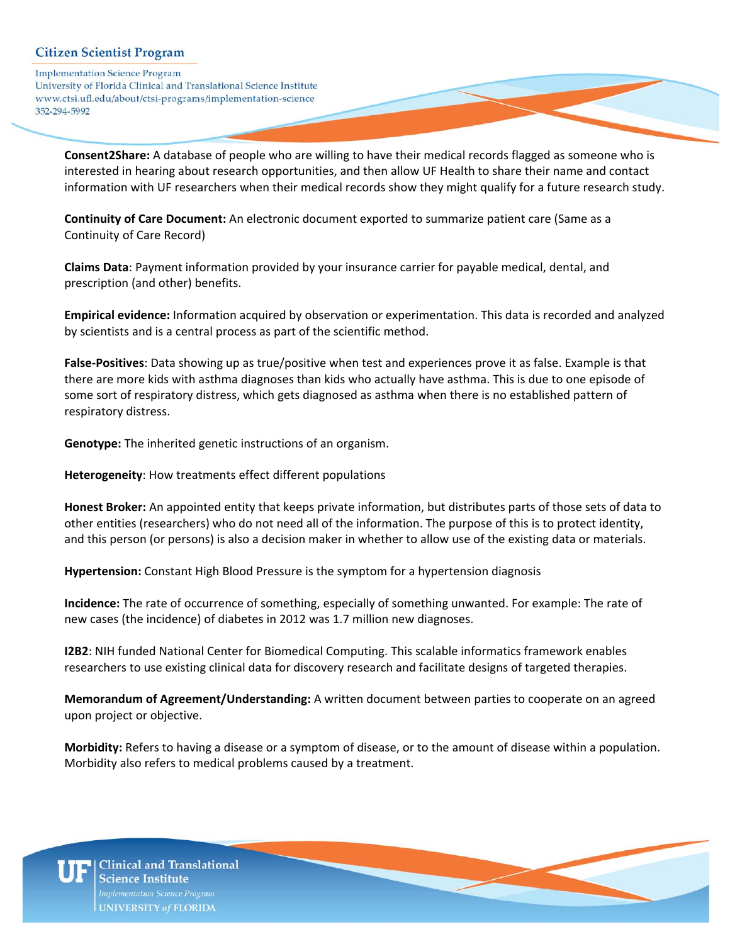**Implementation Science Program** University of Florida Clinical and Translational Science Institute www.ctsi.ufl.edu/about/ctsi-programs/implementation-science 352-294-5992

> **Consent2Share:** A database of people who are willing to have their medical records flagged as someone who is interested in hearing about research opportunities, and then allow UF Health to share their name and contact information with UF researchers when their medical records show they might qualify for a future research study.

**Continuity of Care Document:** An electronic document exported to summarize patient care (Same as a Continuity of Care Record)

**Claims Data**: Payment information provided by your insurance carrier for payable medical, dental, and prescription (and other) benefits.

**Empirical evidence:** Information acquired by observation or experimentation. This data is recorded and analyzed by scientists and is a central process as part of the scientific method.

**False‐Positives**: Data showing up as true/positive when test and experiences prove it as false. Example is that there are more kids with asthma diagnoses than kids who actually have asthma. This is due to one episode of some sort of respiratory distress, which gets diagnosed as asthma when there is no established pattern of respiratory distress.

**Genotype:** The inherited genetic instructions of an organism.

**Heterogeneity**: How treatments effect different populations

**Honest Broker:** An appointed entity that keeps private information, but distributes parts of those sets of data to other entities (researchers) who do not need all of the information. The purpose of this is to protect identity, and this person (or persons) is also a decision maker in whether to allow use of the existing data or materials.

**Hypertension:** Constant High Blood Pressure is the symptom for a hypertension diagnosis

**Incidence:** The rate of occurrence of something, especially of something unwanted. For example: The rate of new cases (the incidence) of diabetes in 2012 was 1.7 million new diagnoses.

**I2B2**: NIH funded National Center for Biomedical Computing. This scalable informatics framework enables researchers to use existing clinical data for discovery research and facilitate designs of targeted therapies.

**Memorandum of Agreement/Understanding:** A written document between parties to cooperate on an agreed upon project or objective.

**Morbidity:** Refers to having a disease or a symptom of disease, or to the amount of disease within a population. Morbidity also refers to medical problems caused by a treatment.